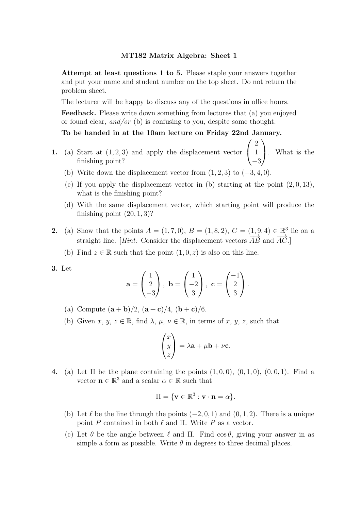Attempt at least questions 1 to 5. Please staple your answers together and put your name and student number on the top sheet. Do not return the problem sheet.

The lecturer will be happy to discuss any of the questions in office hours.

Feedback. Please write down something from lectures that (a) you enjoyed or found clear, and/or (b) is confusing to you, despite some thought.

# To be handed in at the 10am lecture on Friday 22nd January.

1. (a) Start at  $(1, 2, 3)$  and apply the displacement vector  $\mathbf{I}$ 2 1  $-3$ . What is the finishing point?

 $\sqrt{ }$ 

 $\setminus$ 

- (b) Write down the displacement vector from  $(1, 2, 3)$  to  $(-3, 4, 0)$ .
- (c) If you apply the displacement vector in (b) starting at the point  $(2, 0, 13)$ , what is the finishing point?
- (d) With the same displacement vector, which starting point will produce the finishing point  $(20, 1, 3)$ ?
- **2.** (a) Show that the points  $A = (1, 7, 0), B = (1, 8, 2), C = (\underline{1, 9}, 4) \in \mathbb{R}^3$  lie on a straight line. [Hint: Consider the displacement vectors  $\overrightarrow{AB}$  and  $\overrightarrow{AC}$ .]
	- (b) Find  $z \in \mathbb{R}$  such that the point  $(1, 0, z)$  is also on this line.
- 3. Let

$$
\mathbf{a} = \begin{pmatrix} 1 \\ 2 \\ -3 \end{pmatrix}, \ \mathbf{b} = \begin{pmatrix} 1 \\ -2 \\ 3 \end{pmatrix}, \ \mathbf{c} = \begin{pmatrix} -1 \\ 2 \\ 3 \end{pmatrix}.
$$

- (a) Compute  $(**a** + **b**)/2$ ,  $(**a** + **c**)/4$ ,  $(**b** + **c**)/6$ .
- (b) Given x, y,  $z \in \mathbb{R}$ , find  $\lambda$ ,  $\mu$ ,  $\nu \in \mathbb{R}$ , in terms of x, y, z, such that

$$
\begin{pmatrix} x \\ y \\ z \end{pmatrix} = \lambda \mathbf{a} + \mu \mathbf{b} + \nu \mathbf{c}.
$$

4. (a) Let  $\Pi$  be the plane containing the points  $(1, 0, 0), (0, 1, 0), (0, 0, 1)$ . Find a vector  $\mathbf{n} \in \mathbb{R}^3$  and a scalar  $\alpha \in \mathbb{R}$  such that

$$
\Pi = \{ \mathbf{v} \in \mathbb{R}^3 : \mathbf{v} \cdot \mathbf{n} = \alpha \}.
$$

- (b) Let  $\ell$  be the line through the points (−2, 0, 1) and (0, 1, 2). There is a unique point P contained in both  $\ell$  and  $\Pi$ . Write P as a vector.
- (c) Let  $\theta$  be the angle between  $\ell$  and  $\Pi$ . Find cos  $\theta$ , giving your answer in as simple a form as possible. Write  $\theta$  in degrees to three decimal places.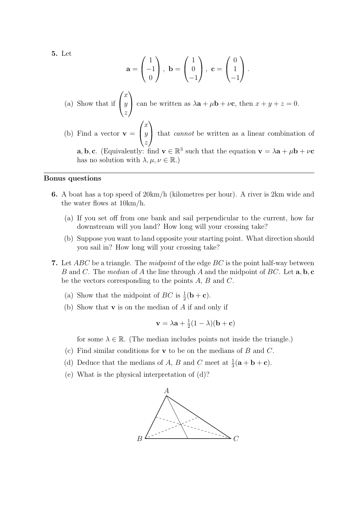5. Let

$$
\mathbf{a} = \begin{pmatrix} 1 \\ -1 \\ 0 \end{pmatrix}, \ \mathbf{b} = \begin{pmatrix} 1 \\ 0 \\ -1 \end{pmatrix}, \ \mathbf{c} = \begin{pmatrix} 0 \\ 1 \\ -1 \end{pmatrix}.
$$

\n- (a) Show that if 
$$
\begin{pmatrix} x \\ y \\ z \end{pmatrix}
$$
 can be written as  $\lambda \mathbf{a} + \mu \mathbf{b} + \nu \mathbf{c}$ , then  $x + y + z = 0$ .
\n- (b) Find a vector  $\mathbf{v} = \begin{pmatrix} x \\ y \\ z \end{pmatrix}$  that cannot be written as a linear combination of **a**, **b**, **c**. (Equivalently: find  $\mathbf{v} \in \mathbb{R}^3$  such that the equation  $\mathbf{v} = \lambda \mathbf{a} + \mu \mathbf{b} + \nu \mathbf{c}$  has no solution with  $\lambda, \mu, \nu \in \mathbb{R}$ .)
\n

#### Bonus questions

- 6. A boat has a top speed of 20km/h (kilometres per hour). A river is 2km wide and the water flows at 10km/h.
	- (a) If you set off from one bank and sail perpendicular to the current, how far downstream will you land? How long will your crossing take?
	- (b) Suppose you want to land opposite your starting point. What direction should you sail in? How long will your crossing take?
- 7. Let  $ABC$  be a triangle. The *midpoint* of the edge  $BC$  is the point half-way between B and C. The median of A the line through A and the midpoint of BC. Let  $\mathbf{a}, \mathbf{b}, \mathbf{c}$ be the vectors corresponding to the points  $A, B$  and  $C$ .
	- (a) Show that the midpoint of  $BC$  is  $\frac{1}{2}(\mathbf{b} + \mathbf{c})$ .
	- (b) Show that  $\bf{v}$  is on the median of A if and only if

$$
\mathbf{v} = \lambda \mathbf{a} + \frac{1}{2}(1 - \lambda)(\mathbf{b} + \mathbf{c})
$$

for some  $\lambda \in \mathbb{R}$ . (The median includes points not inside the triangle.)

- (c) Find similar conditions for  $\bf{v}$  to be on the medians of  $B$  and  $C$ .
- (d) Deduce that the medians of A, B and C meet at  $\frac{1}{3}(\mathbf{a} + \mathbf{b} + \mathbf{c})$ .
- (e) What is the physical interpretation of (d)?

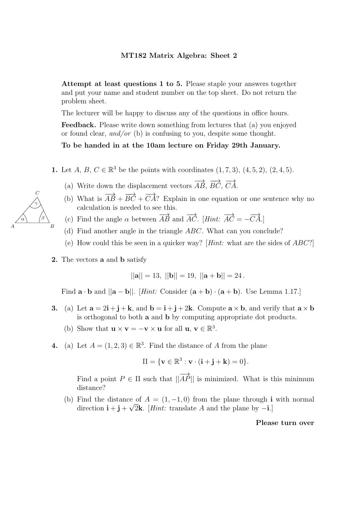The lecturer will be happy to discuss any of the questions in office hours.

Feedback. Please write down something from lectures that (a) you enjoyed or found clear, and/or (b) is confusing to you, despite some thought.

# To be handed in at the 10am lecture on Friday 29th January.

- 1. Let  $A, B, C \in \mathbb{R}^3$  be the points with coordinates  $(1, 7, 3), (4, 5, 2), (2, 4, 5)$ .
	- (a) Write down the displacement vectors  $\overrightarrow{AB}$ ,  $\overrightarrow{BC}$ ,  $\overrightarrow{CA}$ .
	- (b) What is  $\overrightarrow{AB} + \overrightarrow{BC} + \overrightarrow{CA}$ ? Explain in one equation or one sentence why no calculation is needed to see this.
	- (c) Find the angle  $\alpha$  between  $\overrightarrow{AB}$  and  $\overrightarrow{AC}$ . [*Hint:*  $\overrightarrow{AC} = -\overrightarrow{CA}$ .]
	- (d) Find another angle in the triangle ABC. What can you conclude?
	- (e) How could this be seen in a quicker way? [Hint: what are the sides of  $ABC$ ?]
- 2. The vectors a and b satisfy

 $||\mathbf{a}|| = 13,$   $||\mathbf{b}|| = 19,$   $||\mathbf{a} + \mathbf{b}|| = 24$ .

Find  $\mathbf{a} \cdot \mathbf{b}$  and  $||\mathbf{a} - \mathbf{b}||$ . [*Hint:* Consider  $(\mathbf{a} + \mathbf{b}) \cdot (\mathbf{a} + \mathbf{b})$ . Use Lemma 1.17.]

- 3. (a) Let  $\mathbf{a} = 2\mathbf{i} + \mathbf{j} + \mathbf{k}$ , and  $\mathbf{b} = \mathbf{i} + \mathbf{j} + 2\mathbf{k}$ . Compute  $\mathbf{a} \times \mathbf{b}$ , and verify that  $\mathbf{a} \times \mathbf{b}$ is orthogonal to both a and b by computing appropriate dot products.
	- (b) Show that  $\mathbf{u} \times \mathbf{v} = -\mathbf{v} \times \mathbf{u}$  for all  $\mathbf{u}, \mathbf{v} \in \mathbb{R}^3$ .
- 4. (a) Let  $A = (1, 2, 3) \in \mathbb{R}^3$ . Find the distance of A from the plane

$$
\Pi = \{ \mathbf{v} \in \mathbb{R}^3 : \mathbf{v} \cdot (\mathbf{i} + \mathbf{j} + \mathbf{k}) = 0 \}.
$$

Find a point  $P \in \Pi$  such that  $\|\overrightarrow{AP}\|$  is minimized. What is this minimum distance?

(b) Find the distance of  $A = (1, -1, 0)$  from the plane through i with normal direction  $\mathbf{i} + \mathbf{j} + \sqrt{2}\mathbf{k}$ . [*Hint*: translate *A* and the plane by  $-\mathbf{i}$ .]

Please turn over

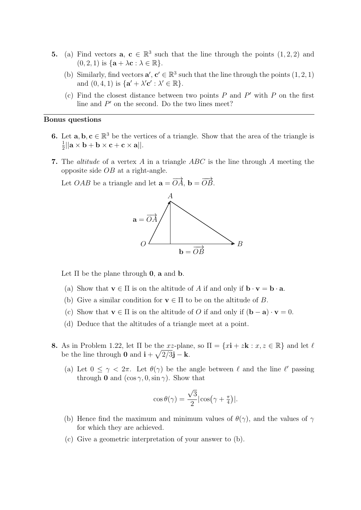- **5.** (a) Find vectors  $\mathbf{a}, \mathbf{c} \in \mathbb{R}^3$  such that the line through the points  $(1, 2, 2)$  and  $(0, 2, 1)$  is  $\{a + \lambda c : \lambda \in \mathbb{R}\}.$ 
	- (b) Similarly, find vectors  $\mathbf{a}', \mathbf{c}' \in \mathbb{R}^3$  such that the line through the points  $(1, 2, 1)$ and  $(0, 4, 1)$  is  $\{ \mathbf{a}' + \lambda' \mathbf{c}' : \lambda' \in \mathbb{R} \}.$
	- (c) Find the closest distance between two points  $P$  and  $P'$  with  $P$  on the first line and  $P'$  on the second. Do the two lines meet?

- 6. Let  $\mathbf{a}, \mathbf{b}, \mathbf{c} \in \mathbb{R}^3$  be the vertices of a triangle. Show that the area of the triangle is 1  $\frac{1}{2}$ ||a × b + b × c + c × a||.
- 7. The *altitude* of a vertex A in a triangle  $ABC$  is the line through A meeting the opposite side OB at a right-angle.

Let *OAB* be a triangle and let  $\mathbf{a} = \overrightarrow{OA}$ ,  $\mathbf{b} = \overrightarrow{OB}$ .



Let  $\Pi$  be the plane through **0**, **a** and **b**.

- (a) Show that  $\mathbf{v} \in \Pi$  is on the altitude of A if and only if  $\mathbf{b} \cdot \mathbf{v} = \mathbf{b} \cdot \mathbf{a}$ .
- (b) Give a similar condition for  $\mathbf{v} \in \Pi$  to be on the altitude of B.
- (c) Show that  $\mathbf{v} \in \Pi$  is on the altitude of O if and only if  $(\mathbf{b} \mathbf{a}) \cdot \mathbf{v} = 0$ .
- (d) Deduce that the altitudes of a triangle meet at a point.
- 8. As in Problem 1.22, let  $\Pi$  be the xz-plane, so  $\Pi = \{x\mathbf{i} + z\mathbf{k} : x, z \in \mathbb{R}\}\$  and let  $\ell$ be the line through **0** and  $\mathbf{i} + \sqrt{2/3}\mathbf{j} - \mathbf{k}$ .
	- (a) Let  $0 \leq \gamma < 2\pi$ . Let  $\theta(\gamma)$  be the angle between  $\ell$  and the line  $\ell'$  passing through 0 and  $(\cos \gamma, 0, \sin \gamma)$ . Show that

$$
\cos \theta(\gamma) = \frac{\sqrt{3}}{2} |\cos(\gamma + \frac{\pi}{4})|.
$$

- (b) Hence find the maximum and minimum values of  $\theta(\gamma)$ , and the values of  $\gamma$ for which they are achieved.
- (c) Give a geometric interpretation of your answer to (b).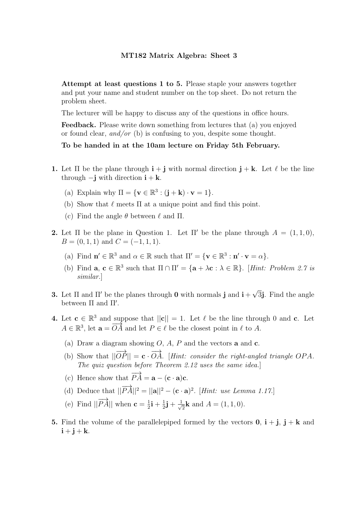Attempt at least questions 1 to 5. Please staple your answers together and put your name and student number on the top sheet. Do not return the problem sheet.

The lecturer will be happy to discuss any of the questions in office hours.

Feedback. Please write down something from lectures that (a) you enjoyed or found clear, and/or (b) is confusing to you, despite some thought.

### To be handed in at the 10am lecture on Friday 5th February.

- 1. Let  $\Pi$  be the plane through  $\mathbf{i} + \mathbf{j}$  with normal direction  $\mathbf{j} + \mathbf{k}$ . Let  $\ell$  be the line through  $-\mathbf{j}$  with direction  $\mathbf{i} + \mathbf{k}$ .
	- (a) Explain why  $\Pi = {\mathbf{v} \in \mathbb{R}^3 : (\mathbf{j} + \mathbf{k}) \cdot \mathbf{v} = 1}.$
	- (b) Show that  $\ell$  meets  $\Pi$  at a unique point and find this point.
	- (c) Find the angle  $\theta$  between  $\ell$  and  $\Pi$ .
- **2.** Let  $\Pi$  be the plane in Question 1. Let  $\Pi'$  be the plane through  $A = (1, 1, 0),$  $B = (0, 1, 1)$  and  $C = (-1, 1, 1)$ .
	- (a) Find  $\mathbf{n}' \in \mathbb{R}^3$  and  $\alpha \in \mathbb{R}$  such that  $\Pi' = {\mathbf{v} \in \mathbb{R}^3 : \mathbf{n}' \cdot \mathbf{v} = \alpha}$ .
	- (b) Find  $\mathbf{a}, \mathbf{c} \in \mathbb{R}^3$  such that  $\Pi \cap \Pi' = {\mathbf{a} + \lambda \mathbf{c} : \lambda \in \mathbb{R}}$ . [*Hint: Problem 2.7 is* similar.]
- **3.** Let  $\Pi$  and  $\Pi'$  be the planes through **0** with normals **j** and  $\mathbf{i} + \sqrt{3}\mathbf{j}$ . Find the angle between  $\Pi$  and  $\Pi'$ .
- 4. Let  $\mathbf{c} \in \mathbb{R}^3$  and suppose that  $||\mathbf{c}|| = 1$ . Let  $\ell$  be the line through 0 and c. Let  $A \in \mathbb{R}^3$ , let  $\mathbf{a} = \overrightarrow{OA}$  and let  $P \in \ell$  be the closest point in  $\ell$  to A.
	- (a) Draw a diagram showing  $O, A, P$  and the vectors **a** and **c**.
	- (b) Show that  $||\overrightarrow{OP}|| = \mathbf{c} \cdot \overrightarrow{OA}$ . [Hint: consider the right-angled triangle OPA. The quiz question before Theorem 2.12 uses the same idea.]
	- (c) Hence show that  $\overrightarrow{PA} = \mathbf{a} (\mathbf{c} \cdot \mathbf{a})\mathbf{c}$ .
	- (d) Deduce that  $\|\overrightarrow{PA}\|^2 = ||\mathbf{a}||^2 (\mathbf{c} \cdot \mathbf{a})^2$ . [*Hint: use Lemma 1.17.*]
	- (e) Find  $\left|\left|\overrightarrow{PA}\right|\right|$  when  $\mathbf{c} = \frac{1}{2}$  $\frac{1}{2}$ **i** +  $\frac{1}{2}$  $\frac{1}{2} \mathbf{j} + \frac{1}{\sqrt{}}$  $\frac{1}{2}$ **k** and  $A = (1, 1, 0)$ .
- 5. Find the volume of the parallelepiped formed by the vectors  $0, i + j, j + k$  and  $i + j + k$ .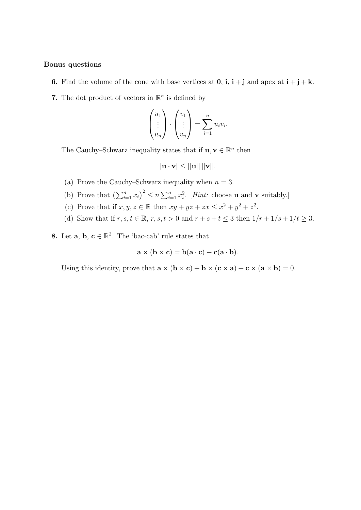- 6. Find the volume of the cone with base vertices at  $0, i, i + j$  and apex at  $i + j + k$ .
- 7. The dot product of vectors in  $\mathbb{R}^n$  is defined by

$$
\begin{pmatrix} u_1 \\ \vdots \\ u_n \end{pmatrix} \cdot \begin{pmatrix} v_1 \\ \vdots \\ v_n \end{pmatrix} = \sum_{i=1}^n u_i v_i.
$$

The Cauchy–Schwarz inequality states that if  $\mathbf{u}, \mathbf{v} \in \mathbb{R}^n$  then

$$
|\mathbf{u}\cdot\mathbf{v}|\leq ||\mathbf{u}|| \, ||\mathbf{v}||.
$$

- (a) Prove the Cauchy–Schwarz inequality when  $n = 3$ .
- (b) Prove that  $\left(\sum_{i=1}^n x_i\right)^2 \leq n \sum_{i=1}^n x_i^2$ . [*Hint:* choose **u** and **v** suitably.]
- (c) Prove that if  $x, y, z \in \mathbb{R}$  then  $xy + yz + zx \leq x^2 + y^2 + z^2$ .
- (d) Show that if  $r, s, t \in \mathbb{R}$ ,  $r, s, t > 0$  and  $r + s + t \leq 3$  then  $1/r + 1/s + 1/t \geq 3$ .

**8.** Let **a**, **b**,  $\mathbf{c} \in \mathbb{R}^3$ . The 'bac-cab' rule states that

$$
\mathbf{a} \times (\mathbf{b} \times \mathbf{c}) = \mathbf{b}(\mathbf{a} \cdot \mathbf{c}) - \mathbf{c}(\mathbf{a} \cdot \mathbf{b}).
$$

Using this identity, prove that  $\mathbf{a} \times (\mathbf{b} \times \mathbf{c}) + \mathbf{b} \times (\mathbf{c} \times \mathbf{a}) + \mathbf{c} \times (\mathbf{a} \times \mathbf{b}) = 0$ .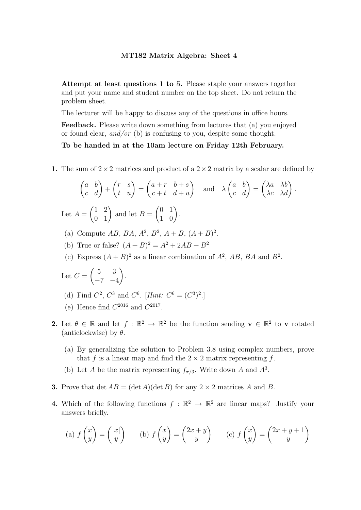The lecturer will be happy to discuss any of the questions in office hours.

Feedback. Please write down something from lectures that (a) you enjoyed or found clear, and/or (b) is confusing to you, despite some thought.

# To be handed in at the 10am lecture on Friday 12th February.

1. The sum of  $2 \times 2$  matrices and product of a  $2 \times 2$  matrix by a scalar are defined by

$$
\begin{pmatrix} a & b \\ c & d \end{pmatrix} + \begin{pmatrix} r & s \\ t & u \end{pmatrix} = \begin{pmatrix} a+r & b+s \\ c+t & d+u \end{pmatrix} \text{ and } \lambda \begin{pmatrix} a & b \\ c & d \end{pmatrix} = \begin{pmatrix} \lambda a & \lambda b \\ \lambda c & \lambda d \end{pmatrix}.
$$
  
Let  $A = \begin{pmatrix} 1 & 2 \\ 0 & 1 \end{pmatrix}$  and let  $B = \begin{pmatrix} 0 & 1 \\ 1 & 0 \end{pmatrix}$ .

- (a) Compute AB, BA,  $A^2$ ,  $B^2$ ,  $A + B$ ,  $(A + B)^2$ .
- (b) True or false?  $(A + B)^2 = A^2 + 2AB + B^2$
- (c) Express  $(A + B)^2$  as a linear combination of  $A^2$ , AB, BA and  $B^2$ .

Let 
$$
C = \begin{pmatrix} 5 & 3 \\ -7 & -4 \end{pmatrix}
$$
.

- (d) Find  $C^2$ ,  $C^3$  and  $C^6$ . [Hint:  $C^6 = (C^3)^2$ .]
- (e) Hence find  $C^{2016}$  and  $C^{2017}$ .
- 2. Let  $\theta \in \mathbb{R}$  and let  $f : \mathbb{R}^2 \to \mathbb{R}^2$  be the function sending  $\mathbf{v} \in \mathbb{R}^2$  to  $\mathbf{v}$  rotated (anticlockwise) by  $\theta$ .
	- (a) By generalizing the solution to Problem 3.8 using complex numbers, prove that f is a linear map and find the  $2 \times 2$  matrix representing f.
	- (b) Let A be the matrix representing  $f_{\pi/3}$ . Write down A and  $A^3$ .
- **3.** Prove that  $\det AB = (\det A)(\det B)$  for any  $2 \times 2$  matrices A and B.
- **4.** Which of the following functions  $f : \mathbb{R}^2 \to \mathbb{R}^2$  are linear maps? Justify your answers briefly.

(a) 
$$
f\begin{pmatrix} x \\ y \end{pmatrix} = \begin{pmatrix} |x| \\ y \end{pmatrix}
$$
 (b)  $f\begin{pmatrix} x \\ y \end{pmatrix} = \begin{pmatrix} 2x + y \\ y \end{pmatrix}$  (c)  $f\begin{pmatrix} x \\ y \end{pmatrix} = \begin{pmatrix} 2x + y + 1 \\ y \end{pmatrix}$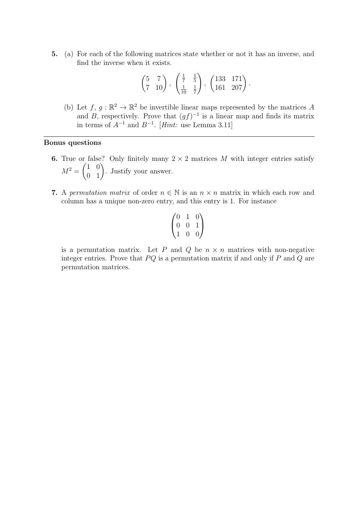5. (a) For each of the following matrices state whether or not it has an inverse, and find the inverse when it exists.

$$
\begin{pmatrix} 5 & 7 \\ 7 & 10 \end{pmatrix}
$$
,  $\begin{pmatrix} \frac{1}{7} & \frac{1}{5} \\ \frac{1}{10} & \frac{1}{7} \end{pmatrix}$ ,  $\begin{pmatrix} 133 & 171 \\ 161 & 207 \end{pmatrix}$ .

(b) Let  $f, g : \mathbb{R}^2 \to \mathbb{R}^2$  be invertible linear maps represented by the matrices A and B, respectively. Prove that  $(gf)^{-1}$  is a linear map and finds its matrix in terms of  $A^{-1}$  and  $B^{-1}$ . [Hint: use Lemma 3.11]

# Bonus questions

- 6. True or false? Only finitely many  $2 \times 2$  matrices M with integer entries satisfy  $M^2 =$  $\begin{pmatrix} 1 & 0 \\ 0 & 1 \end{pmatrix}$ . Justify your answer.
- 7. A permutation matrix of order  $n \in \mathbb{N}$  is an  $n \times n$  matrix in which each row and column has a unique non-zero entry, and this entry is 1. For instance

$$
\begin{pmatrix} 0&1&0\\0&0&1\\1&0&0 \end{pmatrix}
$$

is a permutation matrix. Let P and Q be  $n \times n$  matrices with non-negative integer entries. Prove that  $PQ$  is a permutation matrix if and only if  $P$  and  $Q$  are permutation matrices.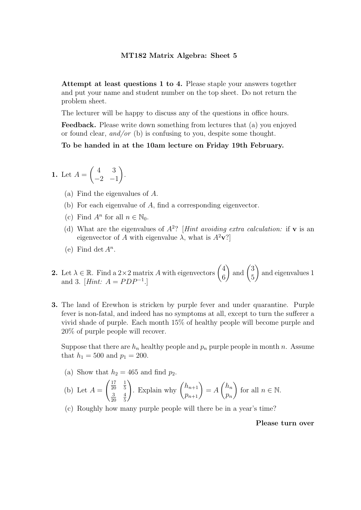The lecturer will be happy to discuss any of the questions in office hours.

Feedback. Please write down something from lectures that (a) you enjoyed or found clear, and/or (b) is confusing to you, despite some thought.

# To be handed in at the 10am lecture on Friday 19th February.

**1.** Let 
$$
A = \begin{pmatrix} 4 & 3 \\ -2 & -1 \end{pmatrix}
$$
.

- (a) Find the eigenvalues of A.
- (b) For each eigenvalue of A, find a corresponding eigenvector.
- (c) Find  $A^n$  for all  $n \in \mathbb{N}_0$ .
- (d) What are the eigenvalues of  $A^2$ ? [*Hint avoiding extra calculation:* if **v** is an eigenvector of A with eigenvalue  $\lambda$ , what is  $A^2$ **v**?
- (e) Find det  $A^n$ .
- **2.** Let  $\lambda \in \mathbb{R}$ . Find a 2×2 matrix A with eigenvectors  $\begin{pmatrix} 4 & 6 \\ 6 & 6 \end{pmatrix}$ 6  $\int$  and  $\int$   $\frac{3}{5}$ 5  $\Delta$ and eigenvalues 1 and 3. [*Hint*:  $A = PDP^{-1}$ .]
- 3. The land of Erewhon is stricken by purple fever and under quarantine. Purple fever is non-fatal, and indeed has no symptoms at all, except to turn the sufferer a vivid shade of purple. Each month 15% of healthy people will become purple and 20% of purple people will recover.

Suppose that there are  $h_n$  healthy people and  $p_n$  purple people in month n. Assume that  $h_1 = 500$  and  $p_1 = 200$ .

(a) Show that  $h_2 = 465$  and find  $p_2$ .

(b) Let 
$$
A = \begin{pmatrix} \frac{17}{20} & \frac{1}{5} \\ \frac{3}{20} & \frac{4}{5} \end{pmatrix}
$$
. Explain why  $\begin{pmatrix} h_{n+1} \\ p_{n+1} \end{pmatrix} = A \begin{pmatrix} h_n \\ p_n \end{pmatrix}$  for all  $n \in \mathbb{N}$ .

(c) Roughly how many purple people will there be in a year's time?

Please turn over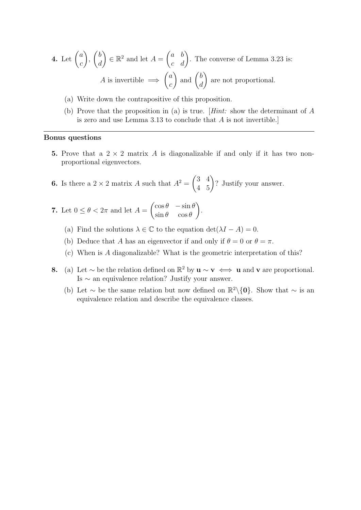**4.** Let 
$$
\begin{pmatrix} a \\ c \end{pmatrix}
$$
,  $\begin{pmatrix} b \\ d \end{pmatrix} \in \mathbb{R}^2$  and let  $A = \begin{pmatrix} a & b \\ c & d \end{pmatrix}$ . The converse of Lemma 3.23 is:  
*A* is invertible  $\implies \begin{pmatrix} a \\ c \end{pmatrix}$  and  $\begin{pmatrix} b \\ d \end{pmatrix}$  are not proportional.

- (a) Write down the contrapositive of this proposition.
- (b) Prove that the proposition in (a) is true. [Hint: show the determinant of A is zero and use Lemma 3.13 to conclude that A is not invertible.]

- 5. Prove that a  $2 \times 2$  matrix A is diagonalizable if and only if it has two nonproportional eigenvectors.
- **6.** Is there a  $2 \times 2$  matrix A such that  $A^2 =$  $\begin{pmatrix} 3 & 4 \\ 4 & 5 \end{pmatrix}$ ? Justify your answer.
- 7. Let  $0 \leq \theta < 2\pi$  and let  $A =$  $\int \cos \theta \, - \sin \theta$  $\sin \theta \quad \cos \theta$  $\overline{\phantom{0}}$ .
	- (a) Find the solutions  $\lambda \in \mathbb{C}$  to the equation  $\det(\lambda I A) = 0$ .
	- (b) Deduce that A has an eigenvector if and only if  $\theta = 0$  or  $\theta = \pi$ .
	- (c) When is A diagonalizable? What is the geometric interpretation of this?
- 8. (a) Let  $\sim$  be the relation defined on  $\mathbb{R}^2$  by  $\mathbf{u} \sim \mathbf{v} \iff \mathbf{u}$  and  $\mathbf{v}$  are proportional. Is ∼ an equivalence relation? Justify your answer.
	- (b) Let  $\sim$  be the same relation but now defined on  $\mathbb{R}^2 \setminus \{0\}$ . Show that  $\sim$  is an equivalence relation and describe the equivalence classes.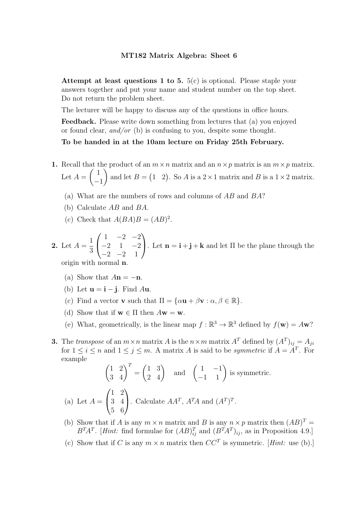Attempt at least questions 1 to 5.  $5(c)$  is optional. Please staple your answers together and put your name and student number on the top sheet. Do not return the problem sheet.

The lecturer will be happy to discuss any of the questions in office hours.

Feedback. Please write down something from lectures that (a) you enjoyed or found clear, and/or (b) is confusing to you, despite some thought.

To be handed in at the 10am lecture on Friday 25th February.

- 1. Recall that the product of an  $m \times n$  matrix and an  $n \times p$  matrix is an  $m \times p$  matrix. Let  $A =$  $\left(1\right)$ −1  $\lambda$ and let  $B = \begin{pmatrix} 1 & 2 \end{pmatrix}$ . So A is a  $2 \times 1$  matrix and B is a  $1 \times 2$  matrix.
	- (a) What are the numbers of rows and columns of AB and BA?
	- (b) Calculate AB and BA.
	- (c) Check that  $A(BA)B = (AB)^2$ .

2. Let  $A =$ 1 3  $\sqrt{ }$  $\mathbf{I}$  $1 -2 -2$  $-2$  1  $-2$  $-2$   $-2$  1  $\setminus$ . Let  $\mathbf{n} = \mathbf{i} + \mathbf{j} + \mathbf{k}$  and let  $\Pi$  be the plane through the origin with normal

- (a) Show that  $A\mathbf{n} = -\mathbf{n}$ .
- (b) Let  $\mathbf{u} = \mathbf{i} \mathbf{j}$ . Find Au.
- (c) Find a vector **v** such that  $\Pi = {\alpha \mathbf{u} + \beta \mathbf{v} : \alpha, \beta \in \mathbb{R}}.$
- (d) Show that if  $\mathbf{w} \in \Pi$  then  $A\mathbf{w} = \mathbf{w}$ .
- (e) What, geometrically, is the linear map  $f : \mathbb{R}^3 \to \mathbb{R}^3$  defined by  $f(\mathbf{w}) = A\mathbf{w}$ ?
- **3.** The transpose of an  $m \times n$  matrix A is the  $n \times m$  matrix  $A<sup>T</sup>$  defined by  $(A<sup>T</sup>)<sub>ij</sub> = A<sub>ji</sub>$ for  $1 \leq i \leq n$  and  $1 \leq j \leq m$ . A matrix A is said to be *symmetric* if  $A = A^T$ . For example

$$
\begin{pmatrix} 1 & 2 \ 3 & 4 \end{pmatrix}^T = \begin{pmatrix} 1 & 3 \ 2 & 4 \end{pmatrix} \text{ and } \begin{pmatrix} 1 & -1 \ -1 & 1 \end{pmatrix} \text{ is symmetric.}
$$
  
(a) Let  $A = \begin{pmatrix} 1 & 2 \ 3 & 4 \ 5 & 6 \end{pmatrix}$ . Calculate  $AA^T$ ,  $A^TA$  and  $(A^T)^T$ .

- (b) Show that if A is any  $m \times n$  matrix and B is any  $n \times p$  matrix then  $(AB)^T =$  $B^{T}A^{T}$ . [*Hint:* find formulae for  $(AB)_{ij}^{T}$  and  $(B^{T}A^{T})_{ij}$ , as in Proposition 4.9.]
- (c) Show that if C is any  $m \times n$  matrix then  $CC^T$  is symmetric. [*Hint:* use (b).]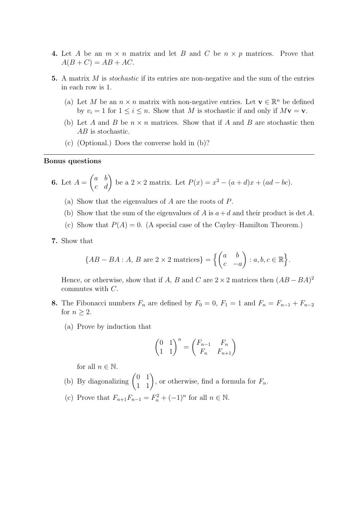- 4. Let A be an  $m \times n$  matrix and let B and C be  $n \times p$  matrices. Prove that  $A(B+C) = AB + AC.$
- 5. A matrix  $M$  is *stochastic* if its entries are non-negative and the sum of the entries in each row is 1.
	- (a) Let M be an  $n \times n$  matrix with non-negative entries. Let  $\mathbf{v} \in \mathbb{R}^n$  be defined by  $v_i = 1$  for  $1 \le i \le n$ . Show that M is stochastic if and only if  $M\mathbf{v} = \mathbf{v}$ .
	- (b) Let A and B be  $n \times n$  matrices. Show that if A and B are stochastic then AB is stochastic.
	- (c) (Optional.) Does the converse hold in (b)?

**6.** Let 
$$
A = \begin{pmatrix} a & b \\ c & d \end{pmatrix}
$$
 be a 2 × 2 matrix. Let  $P(x) = x^2 - (a + d)x + (ad - bc)$ .

- (a) Show that the eigenvalues of A are the roots of P.
- (b) Show that the sum of the eigenvalues of A is  $a+d$  and their product is det A.
- (c) Show that  $P(A) = 0$ . (A special case of the Cayley–Hamilton Theorem.)
- 7. Show that

$$
\{AB - BA : A, B \text{ are } 2 \times 2 \text{ matrices} \} = \left\{ \begin{pmatrix} a & b \\ c & -a \end{pmatrix} : a, b, c \in \mathbb{R} \right\}.
$$

Hence, or otherwise, show that if A, B and C are  $2 \times 2$  matrices then  $(AB - BA)^2$ commutes with C.

- 8. The Fibonacci numbers  $F_n$  are defined by  $F_0 = 0$ ,  $F_1 = 1$  and  $F_n = F_{n-1} + F_{n-2}$ for  $n \geq 2$ .
	- (a) Prove by induction that

$$
\begin{pmatrix} 0 & 1 \ 1 & 1 \end{pmatrix}^n = \begin{pmatrix} F_{n-1} & F_n \ F_n & F_{n+1} \end{pmatrix}
$$

for all  $n \in \mathbb{N}$ .

- (b) By diagonalizing  $\begin{pmatrix} 0 & 1 \\ 1 & 1 \end{pmatrix}$ , or otherwise, find a formula for  $F_n$ .
- (c) Prove that  $F_{n+1}F_{n-1} = F_n^2 + (-1)^n$  for all  $n \in \mathbb{N}$ .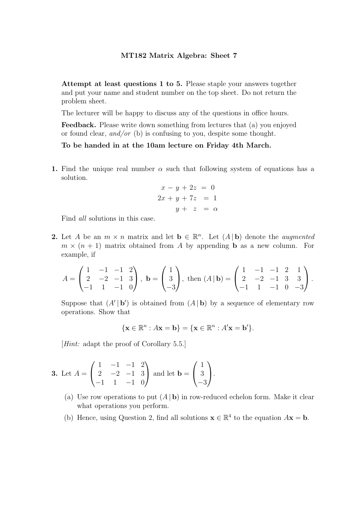The lecturer will be happy to discuss any of the questions in office hours.

Feedback. Please write down something from lectures that (a) you enjoyed or found clear, and/or (b) is confusing to you, despite some thought.

To be handed in at the 10am lecture on Friday 4th March.

1. Find the unique real number  $\alpha$  such that following system of equations has a solution.

$$
x - y + 2z = 0
$$
  

$$
2x + y + 7z = 1
$$
  

$$
y + z = \alpha
$$

Find all solutions in this case.

2. Let A be an  $m \times n$  matrix and let  $\mathbf{b} \in \mathbb{R}^n$ . Let  $(A | \mathbf{b})$  denote the *augmented*  $m \times (n + 1)$  matrix obtained from A by appending **b** as a new column. For example, if

$$
A = \begin{pmatrix} 1 & -1 & -1 & 2 \\ 2 & -2 & -1 & 3 \\ -1 & 1 & -1 & 0 \end{pmatrix}, \mathbf{b} = \begin{pmatrix} 1 \\ 3 \\ -3 \end{pmatrix}, \text{ then } (A \mid \mathbf{b}) = \begin{pmatrix} 1 & -1 & -1 & 2 & 1 \\ 2 & -2 & -1 & 3 & 3 \\ -1 & 1 & -1 & 0 & -3 \end{pmatrix}.
$$

Suppose that  $(A' | b')$  is obtained from  $(A | b)$  by a sequence of elementary row operations. Show that

$$
\{\mathbf x\in\mathbb R^n: A\mathbf x=\mathbf b\}=\{\mathbf x\in\mathbb R^n: A'\mathbf x=\mathbf b'\}.
$$

[Hint: adapt the proof of Corollary 5.5.]

**3.** Let 
$$
A = \begin{pmatrix} 1 & -1 & -1 & 2 \ 2 & -2 & -1 & 3 \ -1 & 1 & -1 & 0 \end{pmatrix}
$$
 and let  $\mathbf{b} = \begin{pmatrix} 1 \ 3 \ -3 \end{pmatrix}$ .

- (a) Use row operations to put  $(A | b)$  in row-reduced echelon form. Make it clear what operations you perform.
- (b) Hence, using Question 2, find all solutions  $\mathbf{x} \in \mathbb{R}^4$  to the equation  $A\mathbf{x} = \mathbf{b}$ .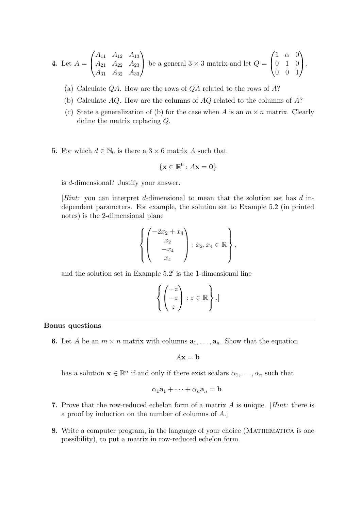**4.** Let 
$$
A = \begin{pmatrix} A_{11} & A_{12} & A_{13} \\ A_{21} & A_{22} & A_{23} \\ A_{31} & A_{32} & A_{33} \end{pmatrix}
$$
 be a general  $3 \times 3$  matrix and let  $Q = \begin{pmatrix} 1 & \alpha & 0 \\ 0 & 1 & 0 \\ 0 & 0 & 1 \end{pmatrix}$ .

- (a) Calculate  $QA$ . How are the rows of  $QA$  related to the rows of  $A$ ?
- (b) Calculate AQ. How are the columns of AQ related to the columns of A?
- (c) State a generalization of (b) for the case when A is an  $m \times n$  matrix. Clearly define the matrix replacing Q.
- 5. For which  $d \in \mathbb{N}_0$  is there a  $3 \times 6$  matrix A such that

$$
\{\mathbf x \in \mathbb R^6 : A\mathbf x = \mathbf 0\}
$$

is d-dimensional? Justify your answer.

[Hint: you can interpret d-dimensional to mean that the solution set has d independent parameters. For example, the solution set to Example 5.2 (in printed notes) is the 2-dimensional plane

$$
\left\{ \begin{pmatrix} -2x_2 + x_4 \\ x_2 \\ -x_4 \\ x_4 \end{pmatrix} : x_2, x_4 \in \mathbb{R} \right\},\
$$

and the solution set in Example  $5.2'$  is the 1-dimensional line

$$
\left\{ \begin{pmatrix} -z \\ -z \\ z \end{pmatrix} : z \in \mathbb{R} \right\} .
$$

### Bonus questions

**6.** Let A be an  $m \times n$  matrix with columns  $a_1, \ldots, a_n$ . Show that the equation

$$
A\mathbf{x} = \mathbf{b}
$$

has a solution  $\mathbf{x} \in \mathbb{R}^n$  if and only if there exist scalars  $\alpha_1, \dots, \alpha_n$  such that

$$
\alpha_1\mathbf{a}_1+\cdots+\alpha_n\mathbf{a}_n=\mathbf{b}.
$$

- 7. Prove that the row-reduced echelon form of a matrix A is unique. [Hint: there is a proof by induction on the number of columns of A.]
- 8. Write a computer program, in the language of your choice (MATHEMATICA is one possibility), to put a matrix in row-reduced echelon form.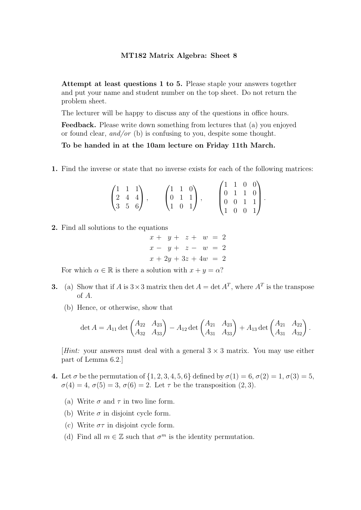The lecturer will be happy to discuss any of the questions in office hours.

Feedback. Please write down something from lectures that (a) you enjoyed or found clear, and/or (b) is confusing to you, despite some thought.

# To be handed in at the 10am lecture on Friday 11th March.

1. Find the inverse or state that no inverse exists for each of the following matrices:

| $\begin{pmatrix} 1 & 1 & 1 \\ 2 & 4 & 4 \\ 3 & 5 & 6 \end{pmatrix}$ , |  | $\begin{pmatrix} 1 & 1 & 0 \\ 0 & 1 & 1 \\ 1 & 0 & 1 \end{pmatrix},$ |  | $\begin{pmatrix} 1 & 1 & 0 & 0 \\ 0 & 1 & 1 & 0 \\ 0 & 0 & 1 & 1 \\ 1 & 0 & 0 & 1 \\ \end{pmatrix}.$ |  |
|-----------------------------------------------------------------------|--|----------------------------------------------------------------------|--|------------------------------------------------------------------------------------------------------|--|
|                                                                       |  |                                                                      |  |                                                                                                      |  |
|                                                                       |  |                                                                      |  |                                                                                                      |  |

2. Find all solutions to the equations

$$
x + y + z + w = 2
$$
  
\n
$$
x - y + z - w = 2
$$
  
\n
$$
x + 2y + 3z + 4w = 2
$$

For which  $\alpha \in \mathbb{R}$  is there a solution with  $x + y = \alpha$ ?

- **3.** (a) Show that if A is  $3 \times 3$  matrix then det  $A = \det A^T$ , where  $A^T$  is the transpose of A.
	- (b) Hence, or otherwise, show that

$$
\det A = A_{11} \det \begin{pmatrix} A_{22} & A_{23} \ A_{32} & A_{33} \end{pmatrix} - A_{12} \det \begin{pmatrix} A_{21} & A_{23} \ A_{31} & A_{33} \end{pmatrix} + A_{13} \det \begin{pmatrix} A_{21} & A_{22} \ A_{31} & A_{32} \end{pmatrix}.
$$

[Hint: your answers must deal with a general  $3 \times 3$  matrix. You may use either part of Lemma 6.2.]

- 4. Let  $\sigma$  be the permutation of  $\{1, 2, 3, 4, 5, 6\}$  defined by  $\sigma(1) = 6, \sigma(2) = 1, \sigma(3) = 5$ ,  $\sigma(4) = 4, \sigma(5) = 3, \sigma(6) = 2.$  Let  $\tau$  be the transposition  $(2, 3)$ .
	- (a) Write  $\sigma$  and  $\tau$  in two line form.
	- (b) Write  $\sigma$  in disjoint cycle form.
	- (c) Write  $\sigma\tau$  in disjoint cycle form.
	- (d) Find all  $m \in \mathbb{Z}$  such that  $\sigma^m$  is the identity permutation.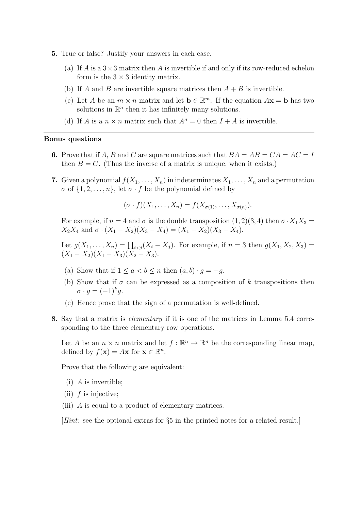- 5. True or false? Justify your answers in each case.
	- (a) If A is a  $3\times 3$  matrix then A is invertible if and only if its row-reduced echelon form is the  $3 \times 3$  identity matrix.
	- (b) If A and B are invertible square matrices then  $A + B$  is invertible.
	- (c) Let A be an  $m \times n$  matrix and let  $\mathbf{b} \in \mathbb{R}^m$ . If the equation  $A\mathbf{x} = \mathbf{b}$  has two solutions in  $\mathbb{R}^n$  then it has infinitely many solutions.
	- (d) If A is a  $n \times n$  matrix such that  $A^n = 0$  then  $I + A$  is invertible.

- 6. Prove that if A, B and C are square matrices such that  $BA = AB = CA = AC = I$ then  $B = C$ . (Thus the inverse of a matrix is unique, when it exists.)
- 7. Given a polynomial  $f(X_1, \ldots, X_n)$  in indeterminates  $X_1, \ldots, X_n$  and a permutation  $\sigma$  of  $\{1, 2, \ldots, n\}$ , let  $\sigma \cdot f$  be the polynomial defined by

$$
(\sigma \cdot f)(X_1,\ldots,X_n)=f(X_{\sigma(1)},\ldots,X_{\sigma(n)}).
$$

For example, if  $n = 4$  and  $\sigma$  is the double transposition  $(1, 2)(3, 4)$  then  $\sigma \cdot X_1 X_3 =$  $X_2X_4$  and  $\sigma \cdot (X_1 - X_2)(X_3 - X_4) = (X_1 - X_2)(X_3 - X_4).$ 

Let  $g(X_1, ..., X_n) = \prod_{i < j} (X_i - X_j)$ . For example, if  $n = 3$  then  $g(X_1, X_2, X_3) =$  $(X_1 - X_2)(X_1 - X_3)(X_2 - X_3).$ 

- (a) Show that if  $1 \leq a < b \leq n$  then  $(a, b) \cdot g = -g$ .
- (b) Show that if  $\sigma$  can be expressed as a composition of k transpositions then  $\sigma \cdot g = (-1)^k g.$
- (c) Hence prove that the sign of a permutation is well-defined.
- 8. Say that a matrix is elementary if it is one of the matrices in Lemma 5.4 corresponding to the three elementary row operations.

Let A be an  $n \times n$  matrix and let  $f : \mathbb{R}^n \to \mathbb{R}^n$  be the corresponding linear map, defined by  $f(\mathbf{x}) = A\mathbf{x}$  for  $\mathbf{x} \in \mathbb{R}^n$ .

Prove that the following are equivalent:

- $(i)$  A is invertible;
- (ii)  $f$  is injective;
- (iii) A is equal to a product of elementary matrices.

[Hint: see the optional extras for §5 in the printed notes for a related result.]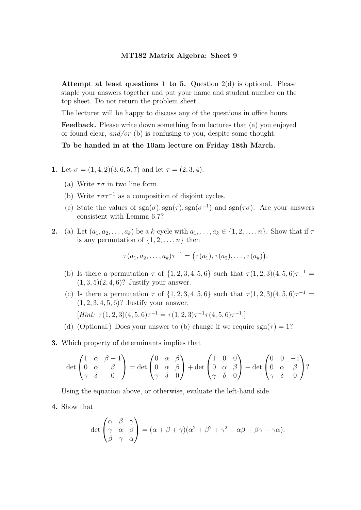Attempt at least questions 1 to 5. Question  $2(d)$  is optional. Please staple your answers together and put your name and student number on the top sheet. Do not return the problem sheet.

The lecturer will be happy to discuss any of the questions in office hours.

Feedback. Please write down something from lectures that (a) you enjoyed or found clear, and/or (b) is confusing to you, despite some thought.

# To be handed in at the 10am lecture on Friday 18th March.

- 1. Let  $\sigma = (1, 4, 2)(3, 6, 5, 7)$  and let  $\tau = (2, 3, 4)$ .
	- (a) Write  $\tau \sigma$  in two line form.
	- (b) Write  $\tau \sigma \tau^{-1}$  as a composition of disjoint cycles.
	- (c) State the values of  $sgn(\sigma)$ ,  $sgn(\tau)$ ,  $sgn(\sigma^{-1})$  and  $sgn(\tau\sigma)$ . Are your answers consistent with Lemma 6.7?
- 2. (a) Let  $(a_1, a_2, \ldots, a_k)$  be a k-cycle with  $a_1, \ldots, a_k \in \{1, 2, \ldots, n\}$ . Show that if  $\tau$ is any permutation of  $\{1, 2, \ldots, n\}$  then

$$
\tau(a_1,a_2,\ldots,a_k)\tau^{-1}=\big(\tau(a_1),\tau(a_2),\ldots,\tau(a_k)\big).
$$

- (b) Is there a permutation  $\tau$  of  $\{1, 2, 3, 4, 5, 6\}$  such that  $\tau(1, 2, 3)(4, 5, 6)\tau^{-1} =$  $(1, 3, 5)(2, 4, 6)$ ? Justify your answer.
- (c) Is there a permutation  $\tau$  of  $\{1, 2, 3, 4, 5, 6\}$  such that  $\tau(1, 2, 3)(4, 5, 6)\tau^{-1} =$  $(1, 2, 3, 4, 5, 6)$ ? Justify your answer.

[Hint:  $\tau(1,2,3)(4,5,6)\tau^{-1} = \tau(1,2,3)\tau^{-1}\tau(4,5,6)\tau^{-1}.$ ]

- (d) (Optional.) Does your answer to (b) change if we require  $sgn(\tau) = 1$ ?
- 3. Which property of determinants implies that

$$
\det\begin{pmatrix} 1 & \alpha & \beta - 1 \\ 0 & \alpha & \beta \\ \gamma & \delta & 0 \end{pmatrix} = \det\begin{pmatrix} 0 & \alpha & \beta \\ 0 & \alpha & \beta \\ \gamma & \delta & 0 \end{pmatrix} + \det\begin{pmatrix} 1 & 0 & 0 \\ 0 & \alpha & \beta \\ \gamma & \delta & 0 \end{pmatrix} + \det\begin{pmatrix} 0 & 0 & -1 \\ 0 & \alpha & \beta \\ \gamma & \delta & 0 \end{pmatrix}?
$$

Using the equation above, or otherwise, evaluate the left-hand side.

4. Show that

$$
\det \begin{pmatrix} \alpha & \beta & \gamma \\ \gamma & \alpha & \beta \\ \beta & \gamma & \alpha \end{pmatrix} = (\alpha + \beta + \gamma)(\alpha^2 + \beta^2 + \gamma^2 - \alpha\beta - \beta\gamma - \gamma\alpha).
$$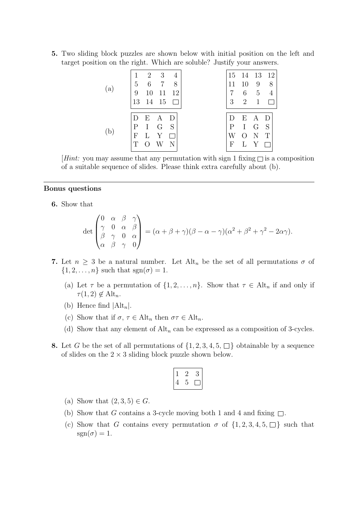5. Two sliding block puzzles are shown below with initial position on the left and target position on the right. Which are soluble? Justify your answers.

| 5<br>9<br>13 | $\overline{2}$<br>6<br>10<br>14 | 3<br>$\overline{7}$<br>11<br>15 | 4<br>8<br>12        |  | 15 14<br>11<br>3 | 10<br>6<br>$\overline{2}$  | 13<br>9<br>5<br>1      | 12<br>8<br>4        |
|--------------|---------------------------------|---------------------------------|---------------------|--|------------------|----------------------------|------------------------|---------------------|
| Ρ<br>F<br>Т  | Ε<br>$\mathbf I$<br>L           | $\mathbf{A}$<br>$\rm G$<br>Y    | $\vert$ )<br>S<br>N |  | Ρ<br>F           | E<br>I<br>$\left( \right)$ | A<br>$\mathcal G$<br>Ν | $\vert$ )<br>S<br>T |

*Hint:* you may assume that any permutation with sign 1 fixing  $\Box$  is a composition of a suitable sequence of slides. Please think extra carefully about (b).

#### Bonus questions

6. Show that

$$
\det \begin{pmatrix} 0 & \alpha & \beta & \gamma \\ \gamma & 0 & \alpha & \beta \\ \beta & \gamma & 0 & \alpha \\ \alpha & \beta & \gamma & 0 \end{pmatrix} = (\alpha + \beta + \gamma)(\beta - \alpha - \gamma)(\alpha^2 + \beta^2 + \gamma^2 - 2\alpha\gamma).
$$

- 7. Let  $n \geq 3$  be a natural number. Let Alt<sub>n</sub> be the set of all permutations  $\sigma$  of  $\{1, 2, \ldots, n\}$  such that  $sgn(\sigma) = 1$ .
	- (a) Let  $\tau$  be a permutation of  $\{1, 2, \ldots, n\}$ . Show that  $\tau \in \text{Alt}_n$  if and only if  $\tau(1,2) \notin \text{Alt}_n$ .
	- (b) Hence find  $|Alt_n|$ .
	- (c) Show that if  $\sigma, \tau \in \mathrm{Alt}_n$  then  $\sigma \tau \in \mathrm{Alt}_n$ .
	- (d) Show that any element of  $\mathrm{Alt}_n$  can be expressed as a composition of 3-cycles.
- 8. Let G be the set of all permutations of  $\{1, 2, 3, 4, 5, \Box\}$  obtainable by a sequence of slides on the  $2 \times 3$  sliding block puzzle shown below.

$$
\begin{array}{|c|c|} \hline 1 & 2 & 3 \\ \hline 4 & 5 & \Box \end{array}
$$

- (a) Show that  $(2, 3, 5) \in G$ .
- (b) Show that G contains a 3-cycle moving both 1 and 4 and fixing  $\Box$ .
- (c) Show that G contains every permutation  $\sigma$  of  $\{1, 2, 3, 4, 5, \Box\}$  such that  $sgn(\sigma) = 1.$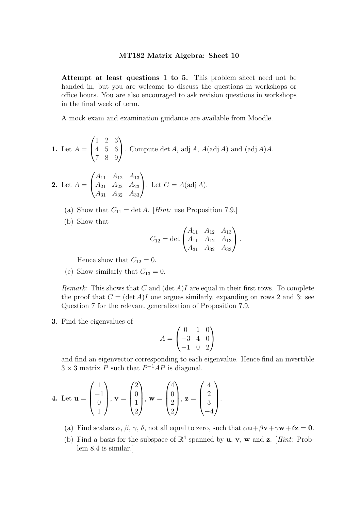Attempt at least questions 1 to 5. This problem sheet need not be handed in, but you are welcome to discuss the questions in workshops or office hours. You are also encouraged to ask revision questions in workshops in the final week of term.

A mock exam and examination guidance are available from Moodle.

**1.** Let 
$$
A = \begin{pmatrix} 1 & 2 & 3 \\ 4 & 5 & 6 \\ 7 & 8 & 9 \end{pmatrix}
$$
. Compute det A, adj A,  $A(\text{adj } A)$  and  $(\text{adj } A)A$ .

**2.** Let 
$$
A = \begin{pmatrix} A_{11} & A_{12} & A_{13} \\ A_{21} & A_{22} & A_{23} \\ A_{31} & A_{32} & A_{33} \end{pmatrix}
$$
. Let  $C = A(\text{adj } A)$ .

(a) Show that  $C_{11} = \det A$ . [Hint: use Proposition 7.9.]

(b) Show that

$$
C_{12} = \det \begin{pmatrix} A_{11} & A_{12} & A_{13} \\ A_{11} & A_{12} & A_{13} \\ A_{31} & A_{32} & A_{33} \end{pmatrix}.
$$

Hence show that  $C_{12} = 0$ .

(c) Show similarly that  $C_{13} = 0$ .

*Remark:* This shows that C and  $(\det A)I$  are equal in their first rows. To complete the proof that  $C = (\det A)I$  one argues similarly, expanding on rows 2 and 3: see Question 7 for the relevant generalization of Proposition 7.9.

3. Find the eigenvalues of

$$
A = \begin{pmatrix} 0 & 1 & 0 \\ -3 & 4 & 0 \\ -1 & 0 & 2 \end{pmatrix}
$$

and find an eigenvector corresponding to each eigenvalue. Hence find an invertible  $3 \times 3$  matrix P such that  $P^{-1}AP$  is diagonal.

$$
\mathbf{4.} \text{ Let } \mathbf{u} = \begin{pmatrix} 1 \\ -1 \\ 0 \\ 1 \end{pmatrix}, \mathbf{v} = \begin{pmatrix} 2 \\ 0 \\ 1 \\ 2 \end{pmatrix}, \mathbf{w} = \begin{pmatrix} 4 \\ 0 \\ 2 \\ 2 \end{pmatrix}, \mathbf{z} = \begin{pmatrix} 4 \\ 2 \\ 3 \\ -4 \end{pmatrix}.
$$

(a) Find scalars  $\alpha$ ,  $\beta$ ,  $\gamma$ ,  $\delta$ , not all equal to zero, such that  $\alpha \mathbf{u} + \beta \mathbf{v} + \gamma \mathbf{w} + \delta \mathbf{z} = \mathbf{0}$ .

(b) Find a basis for the subspace of  $\mathbb{R}^4$  spanned by **u**, **v**, **w** and **z**. [*Hint:* Problem 8.4 is similar.]